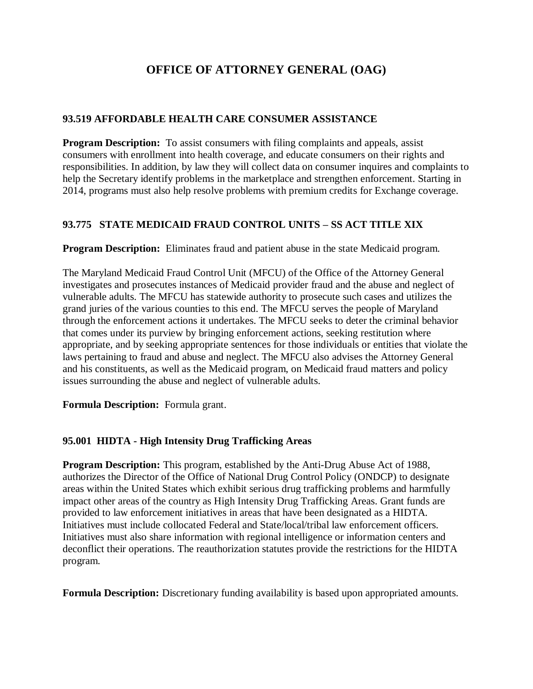## **OFFICE OF ATTORNEY GENERAL (OAG)**

## **93.519 AFFORDABLE HEALTH CARE CONSUMER ASSISTANCE**

**Program Description:** To assist consumers with filing complaints and appeals, assist consumers with enrollment into health coverage, and educate consumers on their rights and responsibilities. In addition, by law they will collect data on consumer inquires and complaints to help the Secretary identify problems in the marketplace and strengthen enforcement. Starting in 2014, programs must also help resolve problems with premium credits for Exchange coverage.

## **93.775 STATE MEDICAID FRAUD CONTROL UNITS – SS ACT TITLE XIX**

**Program Description:** Eliminates fraud and patient abuse in the state Medicaid program.

The Maryland Medicaid Fraud Control Unit (MFCU) of the Office of the Attorney General investigates and prosecutes instances of Medicaid provider fraud and the abuse and neglect of vulnerable adults. The MFCU has statewide authority to prosecute such cases and utilizes the grand juries of the various counties to this end. The MFCU serves the people of Maryland through the enforcement actions it undertakes. The MFCU seeks to deter the criminal behavior that comes under its purview by bringing enforcement actions, seeking restitution where appropriate, and by seeking appropriate sentences for those individuals or entities that violate the laws pertaining to fraud and abuse and neglect. The MFCU also advises the Attorney General and his constituents, as well as the Medicaid program, on Medicaid fraud matters and policy issues surrounding the abuse and neglect of vulnerable adults.

**Formula Description:** Formula grant.

## **95.001 HIDTA - High Intensity Drug Trafficking Areas**

**Program Description:** This program, established by the Anti-Drug Abuse Act of 1988, authorizes the Director of the Office of National Drug Control Policy (ONDCP) to designate areas within the United States which exhibit serious drug trafficking problems and harmfully impact other areas of the country as High Intensity Drug Trafficking Areas. Grant funds are provided to law enforcement initiatives in areas that have been designated as a HIDTA. Initiatives must include collocated Federal and State/local/tribal law enforcement officers. Initiatives must also share information with regional intelligence or information centers and deconflict their operations. The reauthorization statutes provide the restrictions for the HIDTA program.

**Formula Description:** Discretionary funding availability is based upon appropriated amounts.